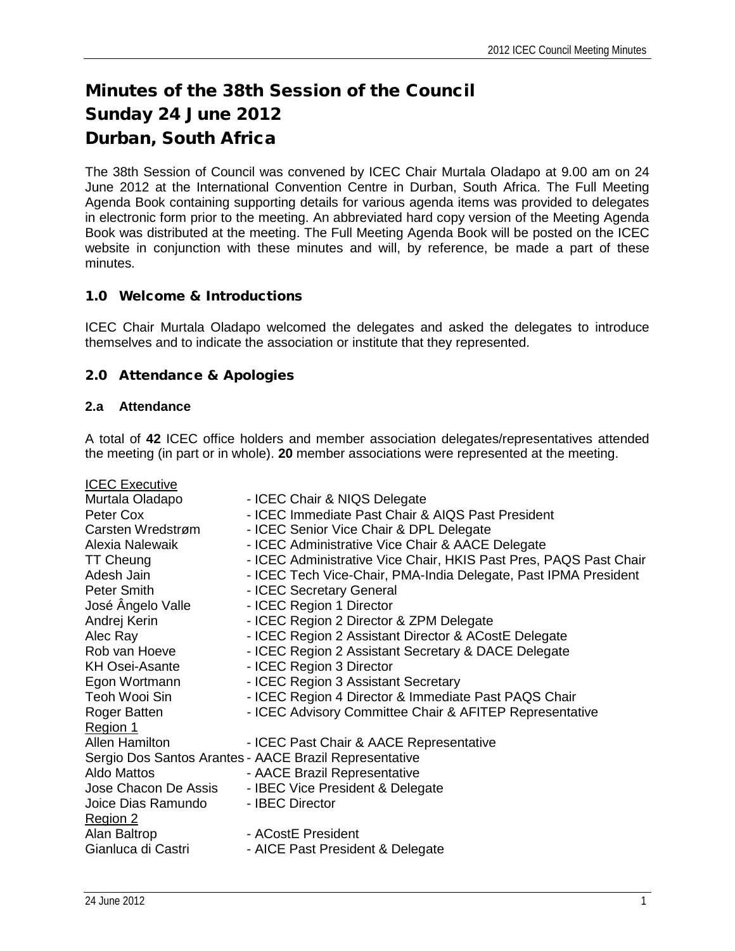# Minutes of the 38th Session of the Council Sunday 24 June 2012 Durban, South Africa

The 38th Session of Council was convened by ICEC Chair Murtala Oladapo at 9.00 am on 24 June 2012 at the International Convention Centre in Durban, South Africa. The Full Meeting Agenda Book containing supporting details for various agenda items was provided to delegates in electronic form prior to the meeting. An abbreviated hard copy version of the Meeting Agenda Book was distributed at the meeting. The Full Meeting Agenda Book will be posted on the ICEC website in conjunction with these minutes and will, by reference, be made a part of these minutes.

## 1.0 Welcome & Introductions

ICEC Chair Murtala Oladapo welcomed the delegates and asked the delegates to introduce themselves and to indicate the association or institute that they represented.

## 2.0 Attendance & Apologies

#### **2.a Attendance**

A total of **42** ICEC office holders and member association delegates/representatives attended the meeting (in part or in whole). **20** member associations were represented at the meeting.

| <b>ICEC Executive</b> |                                                                   |
|-----------------------|-------------------------------------------------------------------|
| Murtala Oladapo       | - ICEC Chair & NIQS Delegate                                      |
| Peter Cox             | - ICEC Immediate Past Chair & AIQS Past President                 |
| Carsten Wredstrøm     | - ICEC Senior Vice Chair & DPL Delegate                           |
| Alexia Nalewaik       | - ICEC Administrative Vice Chair & AACE Delegate                  |
| <b>TT Cheung</b>      | - ICEC Administrative Vice Chair, HKIS Past Pres, PAQS Past Chair |
| Adesh Jain            | - ICEC Tech Vice-Chair, PMA-India Delegate, Past IPMA President   |
| Peter Smith           | - ICEC Secretary General                                          |
| José Ângelo Valle     | - ICEC Region 1 Director                                          |
| Andrej Kerin          | - ICEC Region 2 Director & ZPM Delegate                           |
| Alec Ray              | - ICEC Region 2 Assistant Director & ACostE Delegate              |
| Rob van Hoeve         | - ICEC Region 2 Assistant Secretary & DACE Delegate               |
| <b>KH Osei-Asante</b> | - ICEC Region 3 Director                                          |
| Egon Wortmann         | - ICEC Region 3 Assistant Secretary                               |
| Teoh Wooi Sin         | - ICEC Region 4 Director & Immediate Past PAQS Chair              |
| Roger Batten          | - ICEC Advisory Committee Chair & AFITEP Representative           |
| Region 1              |                                                                   |
| Allen Hamilton        | - ICEC Past Chair & AACE Representative                           |
|                       | Sergio Dos Santos Arantes - AACE Brazil Representative            |
| <b>Aldo Mattos</b>    | - AACE Brazil Representative                                      |
| Jose Chacon De Assis  | - IBEC Vice President & Delegate                                  |
| Joice Dias Ramundo    | - IBEC Director                                                   |
| Region 2              |                                                                   |
| Alan Baltrop          | - ACostE President                                                |
| Gianluca di Castri    | - AICE Past President & Delegate                                  |
|                       |                                                                   |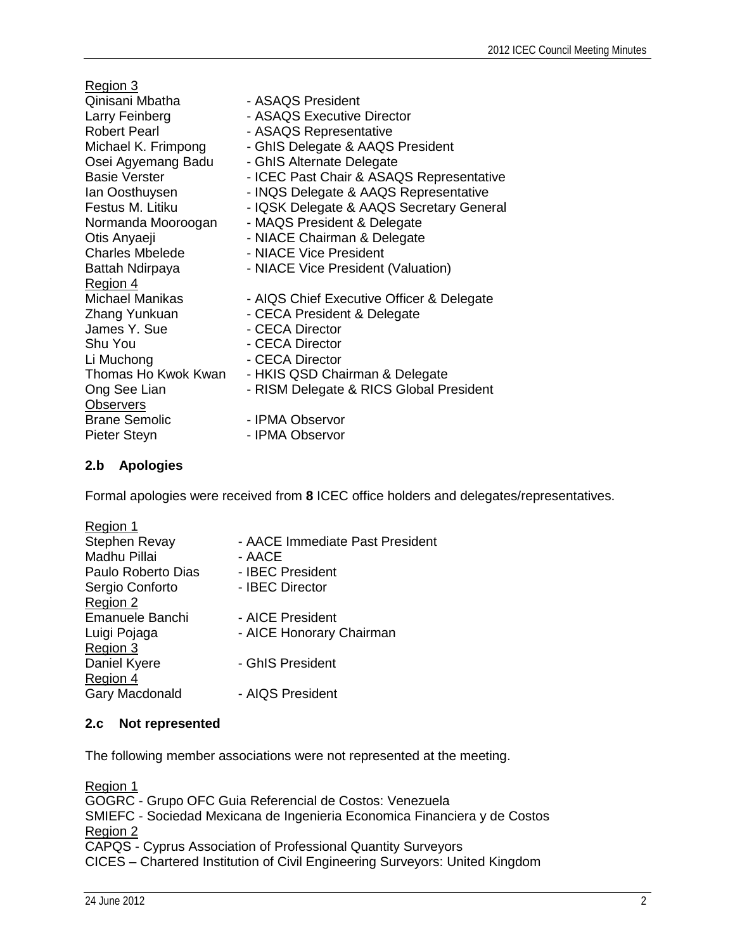| Region 3               |                                           |
|------------------------|-------------------------------------------|
| Qinisani Mbatha        | - ASAOS President                         |
| Larry Feinberg         | - ASAQS Executive Director                |
| <b>Robert Pearl</b>    | - ASAQS Representative                    |
| Michael K. Frimpong    | - GhIS Delegate & AAQS President          |
| Osei Agyemang Badu     | - GhIS Alternate Delegate                 |
| <b>Basie Verster</b>   | - ICEC Past Chair & ASAQS Representative  |
| Ian Oosthuysen         | - INQS Delegate & AAQS Representative     |
| Festus M. Litiku       | - IQSK Delegate & AAQS Secretary General  |
| Normanda Mooroogan     | - MAQS President & Delegate               |
| Otis Anyaeji           | - NIACE Chairman & Delegate               |
| <b>Charles Mbelede</b> | - NIACE Vice President                    |
| Battah Ndirpaya        | - NIACE Vice President (Valuation)        |
| Region 4               |                                           |
| <b>Michael Manikas</b> | - AIQS Chief Executive Officer & Delegate |
| Zhang Yunkuan          | - CECA President & Delegate               |
| James Y. Sue           | - CECA Director                           |
| Shu You                | - CECA Director                           |
| Li Muchong             | - CECA Director                           |
| Thomas Ho Kwok Kwan    | - HKIS QSD Chairman & Delegate            |
| Ong See Lian           | - RISM Delegate & RICS Global President   |
| <b>Observers</b>       |                                           |
| <b>Brane Semolic</b>   | - IPMA Observor                           |
| Pieter Steyn           | - IPMA Observor                           |
|                        |                                           |

### **2.b Apologies**

Formal apologies were received from **8** ICEC office holders and delegates/representatives.

| Region 1             |                                 |
|----------------------|---------------------------------|
| <b>Stephen Revay</b> | - AACE Immediate Past President |
| Madhu Pillai         | - AACE                          |
| Paulo Roberto Dias   | - <b>IBEC</b> President         |
| Sergio Conforto      | - IBEC Director                 |
| Region 2             |                                 |
| Emanuele Banchi      | - AICE President                |
| Luigi Pojaga         | - AICE Honorary Chairman        |
| Region 3             |                                 |
| Daniel Kyere         | - GhIS President                |
| Region 4             |                                 |
| Gary Macdonald       | - AIQS President                |
|                      |                                 |

#### **2.c Not represented**

The following member associations were not represented at the meeting.

Region 1 GOGRC - Grupo OFC Guia Referencial de Costos: Venezuela SMIEFC - Sociedad Mexicana de Ingenieria Economica Financiera y de Costos Region 2 CAPQS - Cyprus Association of Professional Quantity Surveyors CICES – Chartered Institution of Civil Engineering Surveyors: United Kingdom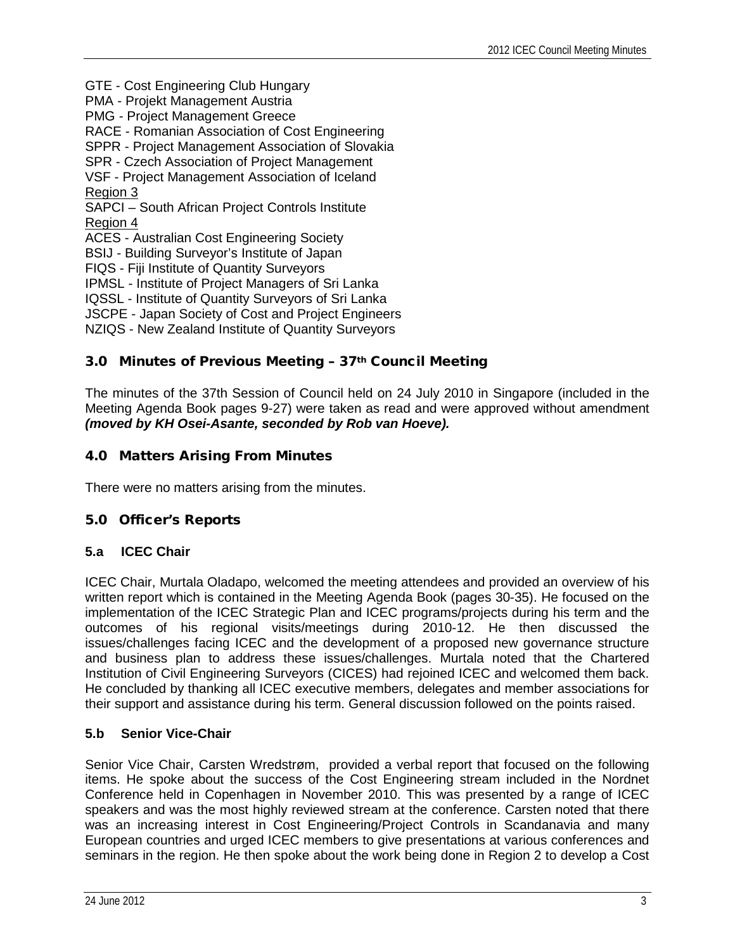GTE - Cost Engineering Club Hungary PMA - Projekt Management Austria PMG - Project Management Greece RACE - Romanian Association of Cost Engineering SPPR - Project Management Association of Slovakia SPR - Czech Association of Project Management VSF - Project Management Association of Iceland Region 3 SAPCI – South African Project Controls Institute Region 4 ACES - Australian Cost Engineering Society BSIJ - Building Surveyor's Institute of Japan FIQS - Fiji Institute of Quantity Surveyors IPMSL - Institute of Project Managers of Sri Lanka IQSSL - Institute of Quantity Surveyors of Sri Lanka JSCPE - Japan Society of Cost and Project Engineers NZIQS - New Zealand Institute of Quantity Surveyors

## 3.0 Minutes of Previous Meeting – 37th Council Meeting

The minutes of the 37th Session of Council held on 24 July 2010 in Singapore (included in the Meeting Agenda Book pages 9-27) were taken as read and were approved without amendment *(moved by KH Osei-Asante, seconded by Rob van Hoeve).* 

## 4.0 Matters Arising From Minutes

There were no matters arising from the minutes.

## 5.0 Officer's Reports

## **5.a ICEC Chair**

ICEC Chair, Murtala Oladapo, welcomed the meeting attendees and provided an overview of his written report which is contained in the Meeting Agenda Book (pages 30-35). He focused on the implementation of the ICEC Strategic Plan and ICEC programs/projects during his term and the outcomes of his regional visits/meetings during 2010-12. He then discussed the issues/challenges facing ICEC and the development of a proposed new governance structure and business plan to address these issues/challenges. Murtala noted that the Chartered Institution of Civil Engineering Surveyors (CICES) had rejoined ICEC and welcomed them back. He concluded by thanking all ICEC executive members, delegates and member associations for their support and assistance during his term. General discussion followed on the points raised.

## **5.b Senior Vice-Chair**

Senior Vice Chair, Carsten Wredstrøm, provided a verbal report that focused on the following items. He spoke about the success of the Cost Engineering stream included in the Nordnet Conference held in Copenhagen in November 2010. This was presented by a range of ICEC speakers and was the most highly reviewed stream at the conference. Carsten noted that there was an increasing interest in Cost Engineering/Project Controls in Scandanavia and many European countries and urged ICEC members to give presentations at various conferences and seminars in the region. He then spoke about the work being done in Region 2 to develop a Cost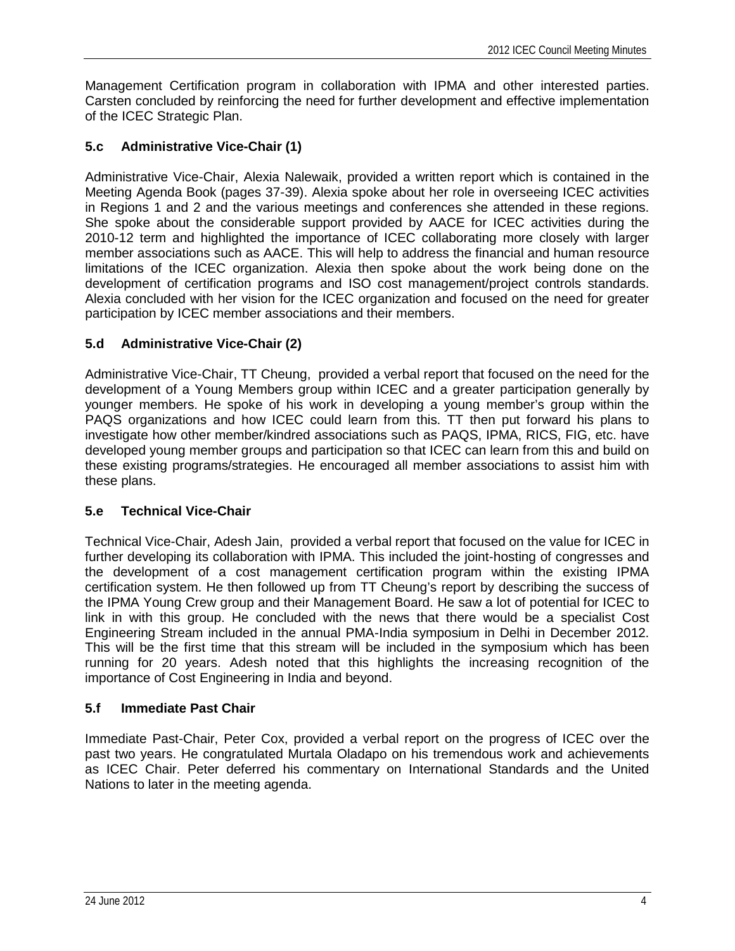Management Certification program in collaboration with IPMA and other interested parties. Carsten concluded by reinforcing the need for further development and effective implementation of the ICEC Strategic Plan.

## **5.c Administrative Vice-Chair (1)**

Administrative Vice-Chair, Alexia Nalewaik, provided a written report which is contained in the Meeting Agenda Book (pages 37-39). Alexia spoke about her role in overseeing ICEC activities in Regions 1 and 2 and the various meetings and conferences she attended in these regions. She spoke about the considerable support provided by AACE for ICEC activities during the 2010-12 term and highlighted the importance of ICEC collaborating more closely with larger member associations such as AACE. This will help to address the financial and human resource limitations of the ICEC organization. Alexia then spoke about the work being done on the development of certification programs and ISO cost management/project controls standards. Alexia concluded with her vision for the ICEC organization and focused on the need for greater participation by ICEC member associations and their members.

## **5.d Administrative Vice-Chair (2)**

Administrative Vice-Chair, TT Cheung, provided a verbal report that focused on the need for the development of a Young Members group within ICEC and a greater participation generally by younger members. He spoke of his work in developing a young member's group within the PAQS organizations and how ICEC could learn from this. TT then put forward his plans to investigate how other member/kindred associations such as PAQS, IPMA, RICS, FIG, etc. have developed young member groups and participation so that ICEC can learn from this and build on these existing programs/strategies. He encouraged all member associations to assist him with these plans.

## **5.e Technical Vice-Chair**

Technical Vice-Chair, Adesh Jain, provided a verbal report that focused on the value for ICEC in further developing its collaboration with IPMA. This included the joint-hosting of congresses and the development of a cost management certification program within the existing IPMA certification system. He then followed up from TT Cheung's report by describing the success of the IPMA Young Crew group and their Management Board. He saw a lot of potential for ICEC to link in with this group. He concluded with the news that there would be a specialist Cost Engineering Stream included in the annual PMA-India symposium in Delhi in December 2012. This will be the first time that this stream will be included in the symposium which has been running for 20 years. Adesh noted that this highlights the increasing recognition of the importance of Cost Engineering in India and beyond.

## **5.f Immediate Past Chair**

Immediate Past-Chair, Peter Cox, provided a verbal report on the progress of ICEC over the past two years. He congratulated Murtala Oladapo on his tremendous work and achievements as ICEC Chair. Peter deferred his commentary on International Standards and the United Nations to later in the meeting agenda.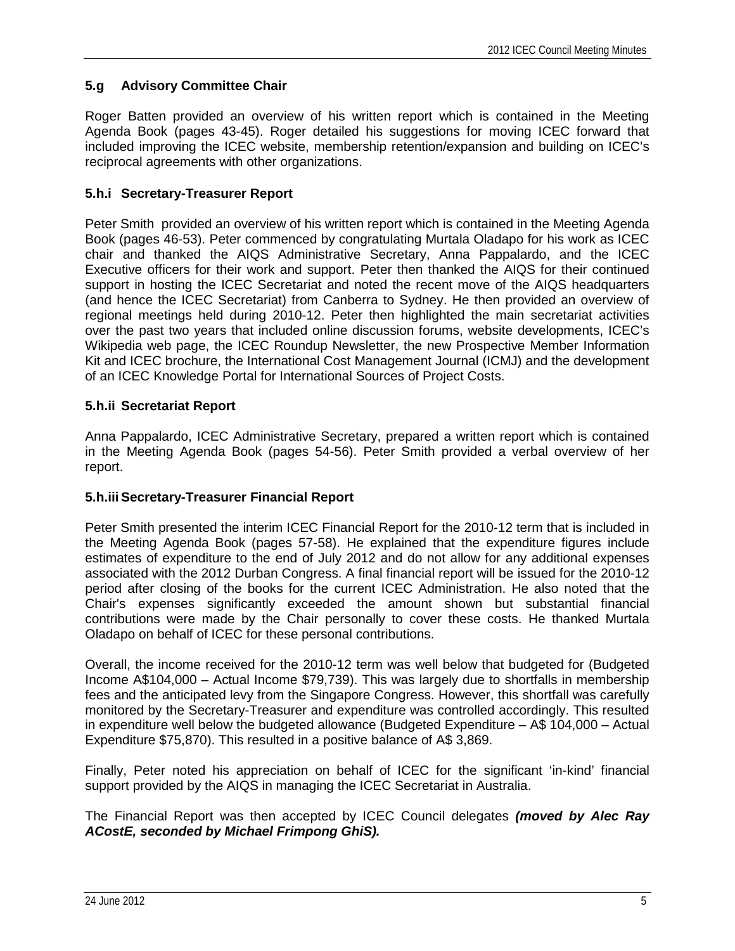## **5.g Advisory Committee Chair**

Roger Batten provided an overview of his written report which is contained in the Meeting Agenda Book (pages 43-45). Roger detailed his suggestions for moving ICEC forward that included improving the ICEC website, membership retention/expansion and building on ICEC's reciprocal agreements with other organizations.

## **5.h.i Secretary-Treasurer Report**

Peter Smith provided an overview of his written report which is contained in the Meeting Agenda Book (pages 46-53). Peter commenced by congratulating Murtala Oladapo for his work as ICEC chair and thanked the AIQS Administrative Secretary, Anna Pappalardo, and the ICEC Executive officers for their work and support. Peter then thanked the AIQS for their continued support in hosting the ICEC Secretariat and noted the recent move of the AIQS headquarters (and hence the ICEC Secretariat) from Canberra to Sydney. He then provided an overview of regional meetings held during 2010-12. Peter then highlighted the main secretariat activities over the past two years that included online discussion forums, website developments, ICEC's Wikipedia web page, the ICEC Roundup Newsletter, the new Prospective Member Information Kit and ICEC brochure, the International Cost Management Journal (ICMJ) and the development of an ICEC Knowledge Portal for International Sources of Project Costs.

### **5.h.ii Secretariat Report**

Anna Pappalardo, ICEC Administrative Secretary, prepared a written report which is contained in the Meeting Agenda Book (pages 54-56). Peter Smith provided a verbal overview of her report.

#### **5.h.iii Secretary-Treasurer Financial Report**

Peter Smith presented the interim ICEC Financial Report for the 2010-12 term that is included in the Meeting Agenda Book (pages 57-58). He explained that the expenditure figures include estimates of expenditure to the end of July 2012 and do not allow for any additional expenses associated with the 2012 Durban Congress. A final financial report will be issued for the 2010-12 period after closing of the books for the current ICEC Administration. He also noted that the Chair's expenses significantly exceeded the amount shown but substantial financial contributions were made by the Chair personally to cover these costs. He thanked Murtala Oladapo on behalf of ICEC for these personal contributions.

Overall, the income received for the 2010-12 term was well below that budgeted for (Budgeted Income A\$104,000 – Actual Income \$79,739). This was largely due to shortfalls in membership fees and the anticipated levy from the Singapore Congress. However, this shortfall was carefully monitored by the Secretary-Treasurer and expenditure was controlled accordingly. This resulted in expenditure well below the budgeted allowance (Budgeted Expenditure – A\$ 104,000 – Actual Expenditure \$75,870). This resulted in a positive balance of A\$ 3,869.

Finally, Peter noted his appreciation on behalf of ICEC for the significant 'in-kind' financial support provided by the AIQS in managing the ICEC Secretariat in Australia.

The Financial Report was then accepted by ICEC Council delegates *(moved by Alec Ray ACostE, seconded by Michael Frimpong GhiS).*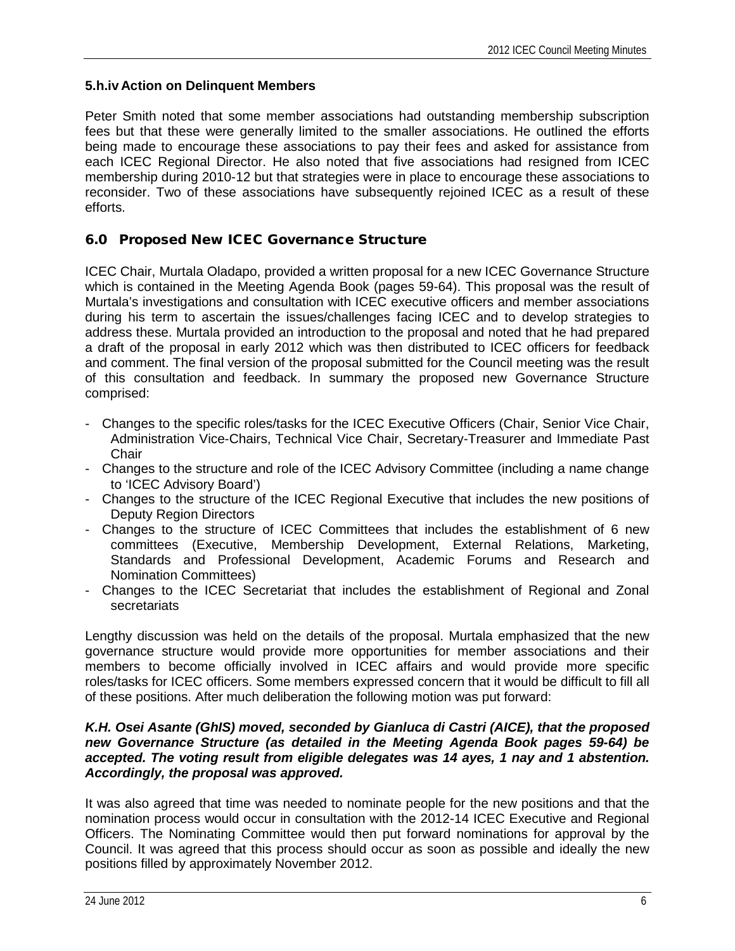### **5.h.iv Action on Delinquent Members**

Peter Smith noted that some member associations had outstanding membership subscription fees but that these were generally limited to the smaller associations. He outlined the efforts being made to encourage these associations to pay their fees and asked for assistance from each ICEC Regional Director. He also noted that five associations had resigned from ICEC membership during 2010-12 but that strategies were in place to encourage these associations to reconsider. Two of these associations have subsequently rejoined ICEC as a result of these efforts.

## 6.0 Proposed New ICEC Governance Structure

ICEC Chair, Murtala Oladapo, provided a written proposal for a new ICEC Governance Structure which is contained in the Meeting Agenda Book (pages 59-64). This proposal was the result of Murtala's investigations and consultation with ICEC executive officers and member associations during his term to ascertain the issues/challenges facing ICEC and to develop strategies to address these. Murtala provided an introduction to the proposal and noted that he had prepared a draft of the proposal in early 2012 which was then distributed to ICEC officers for feedback and comment. The final version of the proposal submitted for the Council meeting was the result of this consultation and feedback. In summary the proposed new Governance Structure comprised:

- Changes to the specific roles/tasks for the ICEC Executive Officers (Chair, Senior Vice Chair, Administration Vice-Chairs, Technical Vice Chair, Secretary-Treasurer and Immediate Past **Chair**
- Changes to the structure and role of the ICEC Advisory Committee (including a name change to 'ICEC Advisory Board')
- Changes to the structure of the ICEC Regional Executive that includes the new positions of Deputy Region Directors
- Changes to the structure of ICEC Committees that includes the establishment of 6 new committees (Executive, Membership Development, External Relations, Marketing, Standards and Professional Development, Academic Forums and Research and Nomination Committees)
- Changes to the ICEC Secretariat that includes the establishment of Regional and Zonal secretariats

Lengthy discussion was held on the details of the proposal. Murtala emphasized that the new governance structure would provide more opportunities for member associations and their members to become officially involved in ICEC affairs and would provide more specific roles/tasks for ICEC officers. Some members expressed concern that it would be difficult to fill all of these positions. After much deliberation the following motion was put forward:

#### *K.H. Osei Asante (GhIS) moved, seconded by Gianluca di Castri (AICE), that the proposed new Governance Structure (as detailed in the Meeting Agenda Book pages 59-64) be accepted. The voting result from eligible delegates was 14 ayes, 1 nay and 1 abstention. Accordingly, the proposal was approved.*

It was also agreed that time was needed to nominate people for the new positions and that the nomination process would occur in consultation with the 2012-14 ICEC Executive and Regional Officers. The Nominating Committee would then put forward nominations for approval by the Council. It was agreed that this process should occur as soon as possible and ideally the new positions filled by approximately November 2012.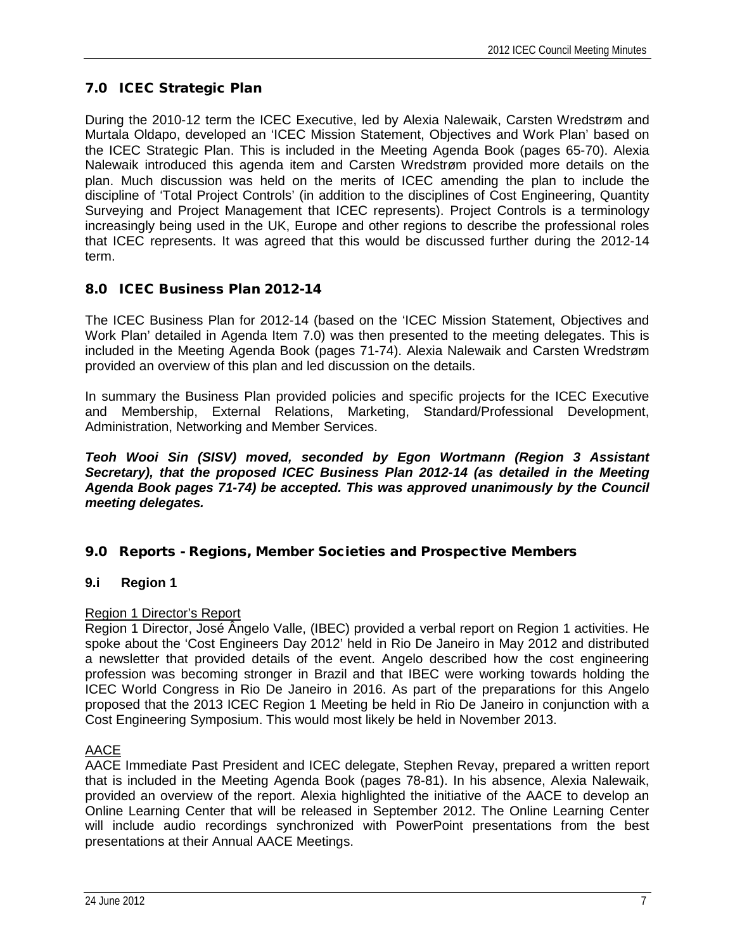## 7.0 ICEC Strategic Plan

During the 2010-12 term the ICEC Executive, led by Alexia Nalewaik, Carsten Wredstrøm and Murtala Oldapo, developed an 'ICEC Mission Statement, Objectives and Work Plan' based on the ICEC Strategic Plan. This is included in the Meeting Agenda Book (pages 65-70). Alexia Nalewaik introduced this agenda item and Carsten Wredstrøm provided more details on the plan. Much discussion was held on the merits of ICEC amending the plan to include the discipline of 'Total Project Controls' (in addition to the disciplines of Cost Engineering, Quantity Surveying and Project Management that ICEC represents). Project Controls is a terminology increasingly being used in the UK, Europe and other regions to describe the professional roles that ICEC represents. It was agreed that this would be discussed further during the 2012-14 term.

## 8.0 ICEC Business Plan 2012-14

The ICEC Business Plan for 2012-14 (based on the 'ICEC Mission Statement, Objectives and Work Plan' detailed in Agenda Item 7.0) was then presented to the meeting delegates. This is included in the Meeting Agenda Book (pages 71-74). Alexia Nalewaik and Carsten Wredstrøm provided an overview of this plan and led discussion on the details.

In summary the Business Plan provided policies and specific projects for the ICEC Executive and Membership, External Relations, Marketing, Standard/Professional Development, Administration, Networking and Member Services.

*Teoh Wooi Sin (SISV) moved, seconded by Egon Wortmann (Region 3 Assistant Secretary), that the proposed ICEC Business Plan 2012-14 (as detailed in the Meeting Agenda Book pages 71-74) be accepted. This was approved unanimously by the Council meeting delegates.*

## 9.0 Reports - Regions, Member Societies and Prospective Members

## **9.i Region 1**

## Region 1 Director's Report

Region 1 Director, José Ângelo Valle, (IBEC) provided a verbal report on Region 1 activities. He spoke about the 'Cost Engineers Day 2012' held in Rio De Janeiro in May 2012 and distributed a newsletter that provided details of the event. Angelo described how the cost engineering profession was becoming stronger in Brazil and that IBEC were working towards holding the ICEC World Congress in Rio De Janeiro in 2016. As part of the preparations for this Angelo proposed that the 2013 ICEC Region 1 Meeting be held in Rio De Janeiro in conjunction with a Cost Engineering Symposium. This would most likely be held in November 2013.

## AACE

AACE Immediate Past President and ICEC delegate, Stephen Revay, prepared a written report that is included in the Meeting Agenda Book (pages 78-81). In his absence, Alexia Nalewaik, provided an overview of the report. Alexia highlighted the initiative of the AACE to develop an Online Learning Center that will be released in September 2012. The Online Learning Center will include audio recordings synchronized with PowerPoint presentations from the best presentations at their Annual AACE Meetings.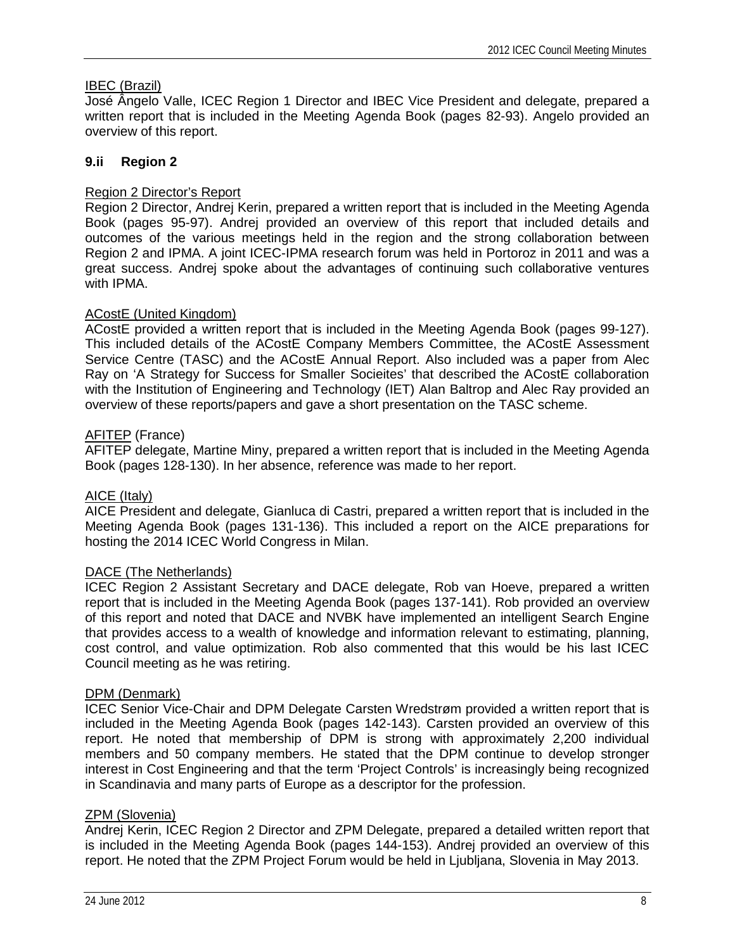### IBEC (Brazil)

José Ângelo Valle, ICEC Region 1 Director and IBEC Vice President and delegate, prepared a written report that is included in the Meeting Agenda Book (pages 82-93). Angelo provided an overview of this report.

## **9.ii Region 2**

### Region 2 Director's Report

Region 2 Director, Andrej Kerin, prepared a written report that is included in the Meeting Agenda Book (pages 95-97). Andrej provided an overview of this report that included details and outcomes of the various meetings held in the region and the strong collaboration between Region 2 and IPMA. A joint ICEC-IPMA research forum was held in Portoroz in 2011 and was a great success. Andrej spoke about the advantages of continuing such collaborative ventures with IPMA.

### ACostE (United Kingdom)

ACostE provided a written report that is included in the Meeting Agenda Book (pages 99-127). This included details of the ACostE Company Members Committee, the ACostE Assessment Service Centre (TASC) and the ACostE Annual Report. Also included was a paper from Alec Ray on 'A Strategy for Success for Smaller Socieites' that described the ACostE collaboration with the Institution of Engineering and Technology (IET) Alan Baltrop and Alec Ray provided an overview of these reports/papers and gave a short presentation on the TASC scheme.

### AFITEP (France)

AFITEP delegate, Martine Miny, prepared a written report that is included in the Meeting Agenda Book (pages 128-130). In her absence, reference was made to her report.

#### AICE (Italy)

AICE President and delegate, Gianluca di Castri, prepared a written report that is included in the Meeting Agenda Book (pages 131-136). This included a report on the AICE preparations for hosting the 2014 ICEC World Congress in Milan.

#### DACE (The Netherlands)

ICEC Region 2 Assistant Secretary and DACE delegate, Rob van Hoeve, prepared a written report that is included in the Meeting Agenda Book (pages 137-141). Rob provided an overview of this report and noted that DACE and NVBK have implemented an intelligent Search Engine that provides access to a wealth of knowledge and information relevant to estimating, planning, cost control, and value optimization. Rob also commented that this would be his last ICEC Council meeting as he was retiring.

#### DPM (Denmark)

ICEC Senior Vice-Chair and DPM Delegate Carsten Wredstrøm provided a written report that is included in the Meeting Agenda Book (pages 142-143). Carsten provided an overview of this report. He noted that membership of DPM is strong with approximately 2,200 individual members and 50 company members. He stated that the DPM continue to develop stronger interest in Cost Engineering and that the term 'Project Controls' is increasingly being recognized in Scandinavia and many parts of Europe as a descriptor for the profession.

## ZPM (Slovenia)

Andrej Kerin, ICEC Region 2 Director and ZPM Delegate, prepared a detailed written report that is included in the Meeting Agenda Book (pages 144-153). Andrej provided an overview of this report. He noted that the ZPM Project Forum would be held in Ljubljana, Slovenia in May 2013.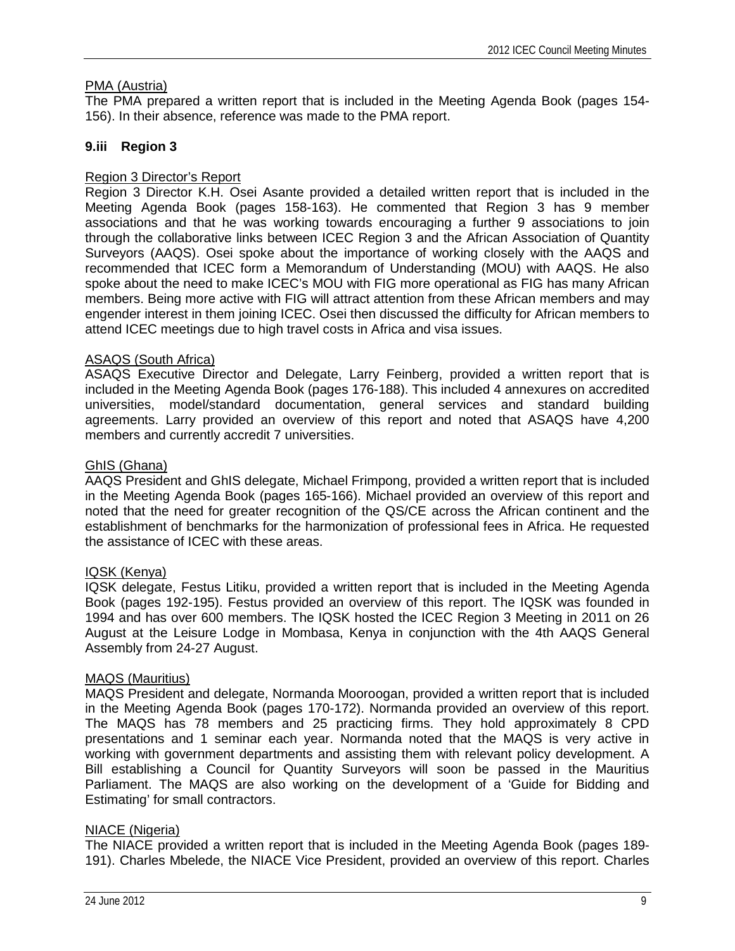#### PMA (Austria)

The PMA prepared a written report that is included in the Meeting Agenda Book (pages 154- 156). In their absence, reference was made to the PMA report.

#### **9.iii Region 3**

#### Region 3 Director's Report

Region 3 Director K.H. Osei Asante provided a detailed written report that is included in the Meeting Agenda Book (pages 158-163). He commented that Region 3 has 9 member associations and that he was working towards encouraging a further 9 associations to join through the collaborative links between ICEC Region 3 and the African Association of Quantity Surveyors (AAQS). Osei spoke about the importance of working closely with the AAQS and recommended that ICEC form a Memorandum of Understanding (MOU) with AAQS. He also spoke about the need to make ICEC's MOU with FIG more operational as FIG has many African members. Being more active with FIG will attract attention from these African members and may engender interest in them joining ICEC. Osei then discussed the difficulty for African members to attend ICEC meetings due to high travel costs in Africa and visa issues.

#### ASAQS (South Africa)

ASAQS Executive Director and Delegate, Larry Feinberg, provided a written report that is included in the Meeting Agenda Book (pages 176-188). This included 4 annexures on accredited universities, model/standard documentation, general services and standard building agreements. Larry provided an overview of this report and noted that ASAQS have 4,200 members and currently accredit 7 universities.

#### GhIS (Ghana)

AAQS President and GhIS delegate, Michael Frimpong, provided a written report that is included in the Meeting Agenda Book (pages 165-166). Michael provided an overview of this report and noted that the need for greater recognition of the QS/CE across the African continent and the establishment of benchmarks for the harmonization of professional fees in Africa. He requested the assistance of ICEC with these areas.

#### IQSK (Kenya)

IQSK delegate, Festus Litiku, provided a written report that is included in the Meeting Agenda Book (pages 192-195). Festus provided an overview of this report. The IQSK was founded in 1994 and has over 600 members. The IQSK hosted the ICEC Region 3 Meeting in 2011 on 26 August at the Leisure Lodge in Mombasa, Kenya in conjunction with the 4th AAQS General Assembly from 24-27 August.

#### MAQS (Mauritius)

MAQS President and delegate, Normanda Mooroogan, provided a written report that is included in the Meeting Agenda Book (pages 170-172). Normanda provided an overview of this report. The MAQS has 78 members and 25 practicing firms. They hold approximately 8 CPD presentations and 1 seminar each year. Normanda noted that the MAQS is very active in working with government departments and assisting them with relevant policy development. A Bill establishing a Council for Quantity Surveyors will soon be passed in the Mauritius Parliament. The MAQS are also working on the development of a 'Guide for Bidding and Estimating' for small contractors.

#### NIACE (Nigeria)

The NIACE provided a written report that is included in the Meeting Agenda Book (pages 189- 191). Charles Mbelede, the NIACE Vice President, provided an overview of this report. Charles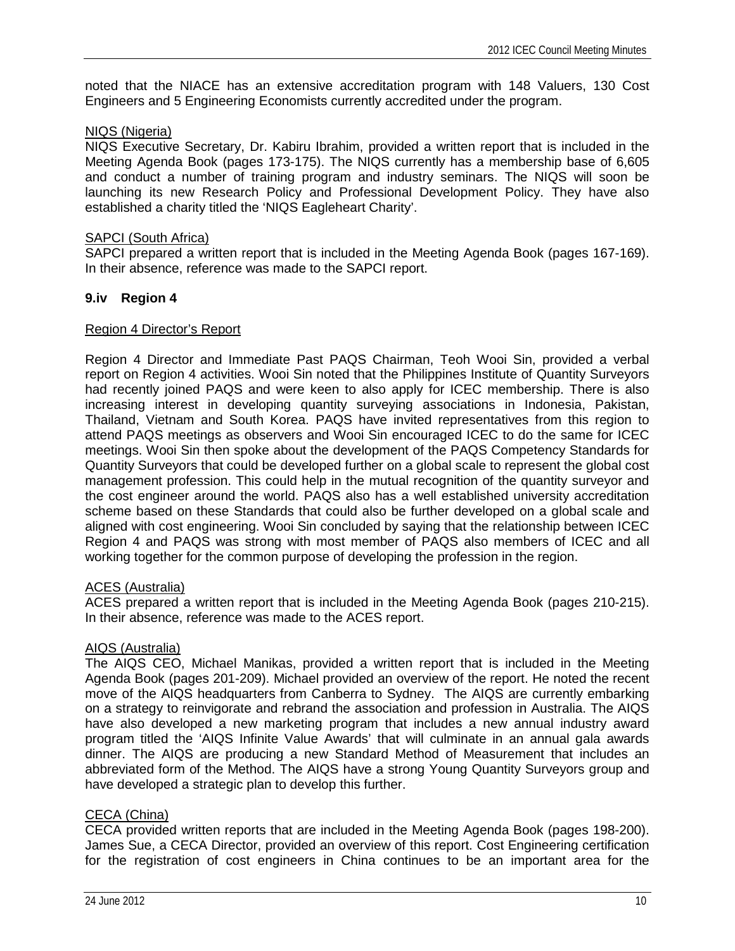noted that the NIACE has an extensive accreditation program with 148 Valuers, 130 Cost Engineers and 5 Engineering Economists currently accredited under the program.

### NIQS (Nigeria)

NIQS Executive Secretary, Dr. Kabiru Ibrahim, provided a written report that is included in the Meeting Agenda Book (pages 173-175). The NIQS currently has a membership base of 6,605 and conduct a number of training program and industry seminars. The NIQS will soon be launching its new Research Policy and Professional Development Policy. They have also established a charity titled the 'NIQS Eagleheart Charity'.

### SAPCI (South Africa)

SAPCI prepared a written report that is included in the Meeting Agenda Book (pages 167-169). In their absence, reference was made to the SAPCI report.

## **9.iv Region 4**

#### Region 4 Director's Report

Region 4 Director and Immediate Past PAQS Chairman, Teoh Wooi Sin, provided a verbal report on Region 4 activities. Wooi Sin noted that the Philippines Institute of Quantity Surveyors had recently joined PAQS and were keen to also apply for ICEC membership. There is also increasing interest in developing quantity surveying associations in Indonesia, Pakistan, Thailand, Vietnam and South Korea. PAQS have invited representatives from this region to attend PAQS meetings as observers and Wooi Sin encouraged ICEC to do the same for ICEC meetings. Wooi Sin then spoke about the development of the PAQS Competency Standards for Quantity Surveyors that could be developed further on a global scale to represent the global cost management profession. This could help in the mutual recognition of the quantity surveyor and the cost engineer around the world. PAQS also has a well established university accreditation scheme based on these Standards that could also be further developed on a global scale and aligned with cost engineering. Wooi Sin concluded by saying that the relationship between ICEC Region 4 and PAQS was strong with most member of PAQS also members of ICEC and all working together for the common purpose of developing the profession in the region.

#### ACES (Australia)

ACES prepared a written report that is included in the Meeting Agenda Book (pages 210-215). In their absence, reference was made to the ACES report.

## AIQS (Australia)

The AIQS CEO, Michael Manikas, provided a written report that is included in the Meeting Agenda Book (pages 201-209). Michael provided an overview of the report. He noted the recent move of the AIQS headquarters from Canberra to Sydney. The AIQS are currently embarking on a strategy to reinvigorate and rebrand the association and profession in Australia. The AIQS have also developed a new marketing program that includes a new annual industry award program titled the 'AIQS Infinite Value Awards' that will culminate in an annual gala awards dinner. The AIQS are producing a new Standard Method of Measurement that includes an abbreviated form of the Method. The AIQS have a strong Young Quantity Surveyors group and have developed a strategic plan to develop this further.

## CECA (China)

CECA provided written reports that are included in the Meeting Agenda Book (pages 198-200). James Sue, a CECA Director, provided an overview of this report. Cost Engineering certification for the registration of cost engineers in China continues to be an important area for the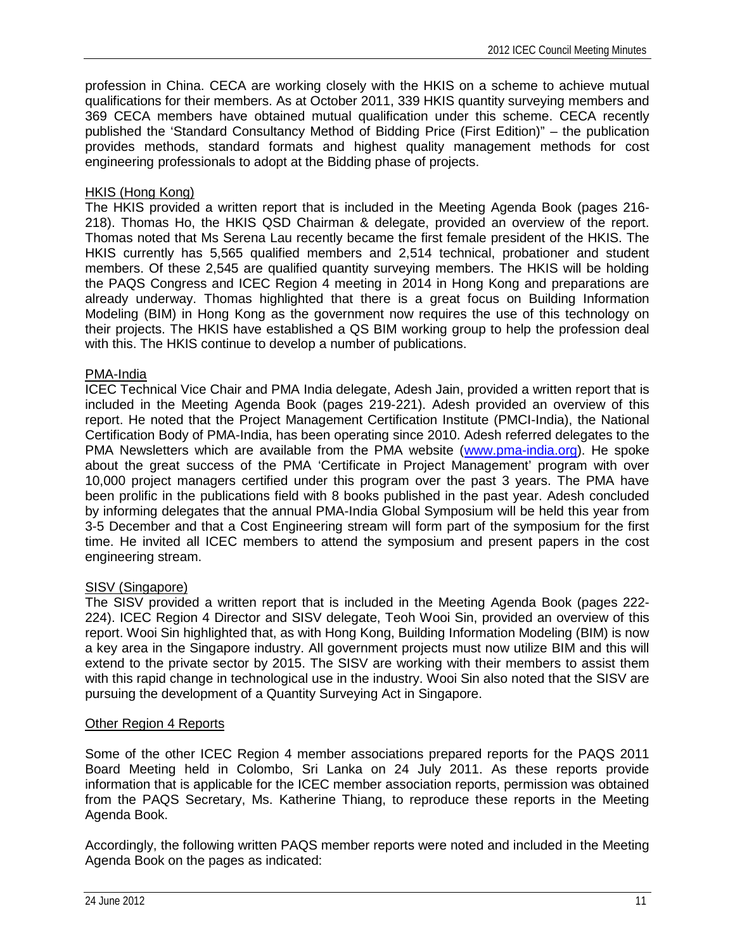profession in China. CECA are working closely with the HKIS on a scheme to achieve mutual qualifications for their members. As at October 2011, 339 HKIS quantity surveying members and 369 CECA members have obtained mutual qualification under this scheme. CECA recently published the 'Standard Consultancy Method of Bidding Price (First Edition)" – the publication provides methods, standard formats and highest quality management methods for cost engineering professionals to adopt at the Bidding phase of projects.

### HKIS (Hong Kong)

The HKIS provided a written report that is included in the Meeting Agenda Book (pages 216- 218). Thomas Ho, the HKIS QSD Chairman & delegate, provided an overview of the report. Thomas noted that Ms Serena Lau recently became the first female president of the HKIS. The HKIS currently has 5,565 qualified members and 2,514 technical, probationer and student members. Of these 2,545 are qualified quantity surveying members. The HKIS will be holding the PAQS Congress and ICEC Region 4 meeting in 2014 in Hong Kong and preparations are already underway. Thomas highlighted that there is a great focus on Building Information Modeling (BIM) in Hong Kong as the government now requires the use of this technology on their projects. The HKIS have established a QS BIM working group to help the profession deal with this. The HKIS continue to develop a number of publications.

### PMA-India

ICEC Technical Vice Chair and PMA India delegate, Adesh Jain, provided a written report that is included in the Meeting Agenda Book (pages 219-221). Adesh provided an overview of this report. He noted that the Project Management Certification Institute (PMCI-India), the National Certification Body of PMA-India, has been operating since 2010. Adesh referred delegates to the PMA Newsletters which are available from the PMA website [\(www.pma-india.org\)](http://www.pma-india.org/). He spoke about the great success of the PMA 'Certificate in Project Management' program with over 10,000 project managers certified under this program over the past 3 years. The PMA have been prolific in the publications field with 8 books published in the past year. Adesh concluded by informing delegates that the annual PMA-India Global Symposium will be held this year from 3-5 December and that a Cost Engineering stream will form part of the symposium for the first time. He invited all ICEC members to attend the symposium and present papers in the cost engineering stream.

#### SISV (Singapore)

The SISV provided a written report that is included in the Meeting Agenda Book (pages 222- 224). ICEC Region 4 Director and SISV delegate, Teoh Wooi Sin, provided an overview of this report. Wooi Sin highlighted that, as with Hong Kong, Building Information Modeling (BIM) is now a key area in the Singapore industry. All government projects must now utilize BIM and this will extend to the private sector by 2015. The SISV are working with their members to assist them with this rapid change in technological use in the industry. Wooi Sin also noted that the SISV are pursuing the development of a Quantity Surveying Act in Singapore.

#### Other Region 4 Reports

Some of the other ICEC Region 4 member associations prepared reports for the PAQS 2011 Board Meeting held in Colombo, Sri Lanka on 24 July 2011. As these reports provide information that is applicable for the ICEC member association reports, permission was obtained from the PAQS Secretary, Ms. Katherine Thiang, to reproduce these reports in the Meeting Agenda Book.

Accordingly, the following written PAQS member reports were noted and included in the Meeting Agenda Book on the pages as indicated: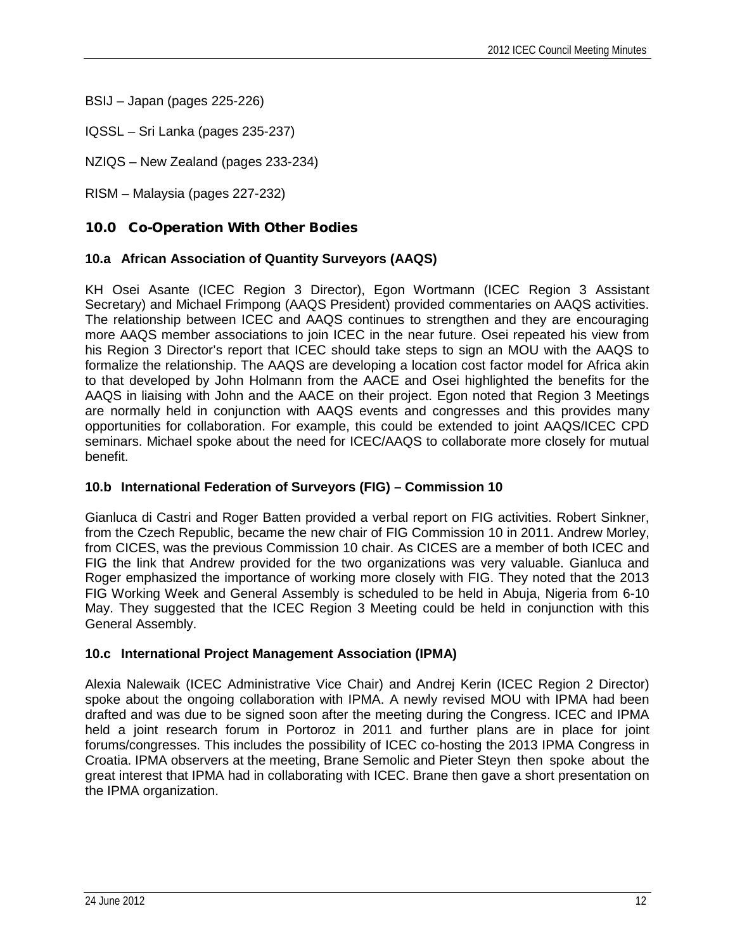BSIJ – Japan (pages 225-226)

IQSSL – Sri Lanka (pages 235-237)

NZIQS – New Zealand (pages 233-234)

RISM – Malaysia (pages 227-232)

## 10.0 Co-Operation With Other Bodies

## **10.a African Association of Quantity Surveyors (AAQS)**

KH Osei Asante (ICEC Region 3 Director), Egon Wortmann (ICEC Region 3 Assistant Secretary) and Michael Frimpong (AAQS President) provided commentaries on AAQS activities. The relationship between ICEC and AAQS continues to strengthen and they are encouraging more AAQS member associations to join ICEC in the near future. Osei repeated his view from his Region 3 Director's report that ICEC should take steps to sign an MOU with the AAQS to formalize the relationship. The AAQS are developing a location cost factor model for Africa akin to that developed by John Holmann from the AACE and Osei highlighted the benefits for the AAQS in liaising with John and the AACE on their project. Egon noted that Region 3 Meetings are normally held in conjunction with AAQS events and congresses and this provides many opportunities for collaboration. For example, this could be extended to joint AAQS/ICEC CPD seminars. Michael spoke about the need for ICEC/AAQS to collaborate more closely for mutual benefit.

## **10.b International Federation of Surveyors (FIG) – Commission 10**

Gianluca di Castri and Roger Batten provided a verbal report on FIG activities. Robert Sinkner, from the Czech Republic, became the new chair of FIG Commission 10 in 2011. Andrew Morley, from CICES, was the previous Commission 10 chair. As CICES are a member of both ICEC and FIG the link that Andrew provided for the two organizations was very valuable. Gianluca and Roger emphasized the importance of working more closely with FIG. They noted that the 2013 FIG Working Week and General Assembly is scheduled to be held in Abuja, Nigeria from 6-10 May. They suggested that the ICEC Region 3 Meeting could be held in conjunction with this General Assembly.

## **10.c International Project Management Association (IPMA)**

Alexia Nalewaik (ICEC Administrative Vice Chair) and Andrej Kerin (ICEC Region 2 Director) spoke about the ongoing collaboration with IPMA. A newly revised MOU with IPMA had been drafted and was due to be signed soon after the meeting during the Congress. ICEC and IPMA held a joint research forum in Portoroz in 2011 and further plans are in place for joint forums/congresses. This includes the possibility of ICEC co-hosting the 2013 IPMA Congress in Croatia. IPMA observers at the meeting, Brane Semolic and Pieter Steyn then spoke about the great interest that IPMA had in collaborating with ICEC. Brane then gave a short presentation on the IPMA organization.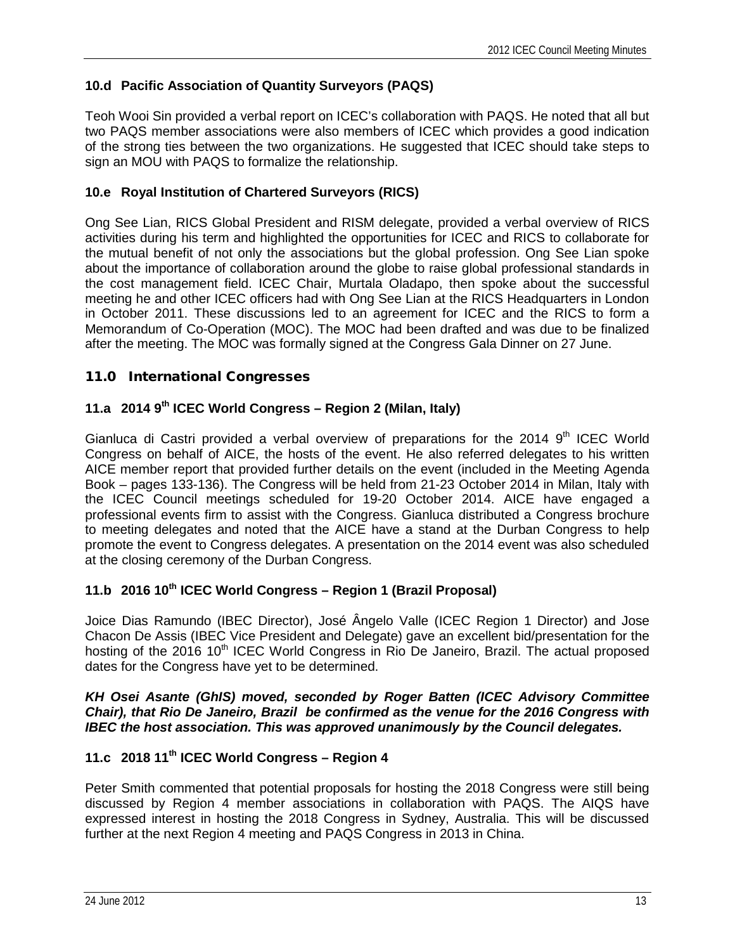### **10.d Pacific Association of Quantity Surveyors (PAQS)**

Teoh Wooi Sin provided a verbal report on ICEC's collaboration with PAQS. He noted that all but two PAQS member associations were also members of ICEC which provides a good indication of the strong ties between the two organizations. He suggested that ICEC should take steps to sign an MOU with PAQS to formalize the relationship.

#### **10.e Royal Institution of Chartered Surveyors (RICS)**

Ong See Lian, RICS Global President and RISM delegate, provided a verbal overview of RICS activities during his term and highlighted the opportunities for ICEC and RICS to collaborate for the mutual benefit of not only the associations but the global profession. Ong See Lian spoke about the importance of collaboration around the globe to raise global professional standards in the cost management field. ICEC Chair, Murtala Oladapo, then spoke about the successful meeting he and other ICEC officers had with Ong See Lian at the RICS Headquarters in London in October 2011. These discussions led to an agreement for ICEC and the RICS to form a Memorandum of Co-Operation (MOC). The MOC had been drafted and was due to be finalized after the meeting. The MOC was formally signed at the Congress Gala Dinner on 27 June.

#### 11.0 International Congresses

#### **11.a 2014 9th ICEC World Congress – Region 2 (Milan, Italy)**

Gianluca di Castri provided a verbal overview of preparations for the 2014  $9<sup>th</sup>$  ICEC World Congress on behalf of AICE, the hosts of the event. He also referred delegates to his written AICE member report that provided further details on the event (included in the Meeting Agenda Book – pages 133-136). The Congress will be held from 21-23 October 2014 in Milan, Italy with the ICEC Council meetings scheduled for 19-20 October 2014. AICE have engaged a professional events firm to assist with the Congress. Gianluca distributed a Congress brochure to meeting delegates and noted that the AICE have a stand at the Durban Congress to help promote the event to Congress delegates. A presentation on the 2014 event was also scheduled at the closing ceremony of the Durban Congress.

## **11.b 2016 10th ICEC World Congress – Region 1 (Brazil Proposal)**

Joice Dias Ramundo (IBEC Director), José Ângelo Valle (ICEC Region 1 Director) and Jose Chacon De Assis (IBEC Vice President and Delegate) gave an excellent bid/presentation for the hosting of the 2016 10<sup>th</sup> ICEC World Congress in Rio De Janeiro, Brazil. The actual proposed dates for the Congress have yet to be determined.

#### *KH Osei Asante (GhIS) moved, seconded by Roger Batten (ICEC Advisory Committee Chair), that Rio De Janeiro, Brazil be confirmed as the venue for the 2016 Congress with IBEC the host association. This was approved unanimously by the Council delegates.*

#### **11.c 2018 11th ICEC World Congress – Region 4**

Peter Smith commented that potential proposals for hosting the 2018 Congress were still being discussed by Region 4 member associations in collaboration with PAQS. The AIQS have expressed interest in hosting the 2018 Congress in Sydney, Australia. This will be discussed further at the next Region 4 meeting and PAQS Congress in 2013 in China.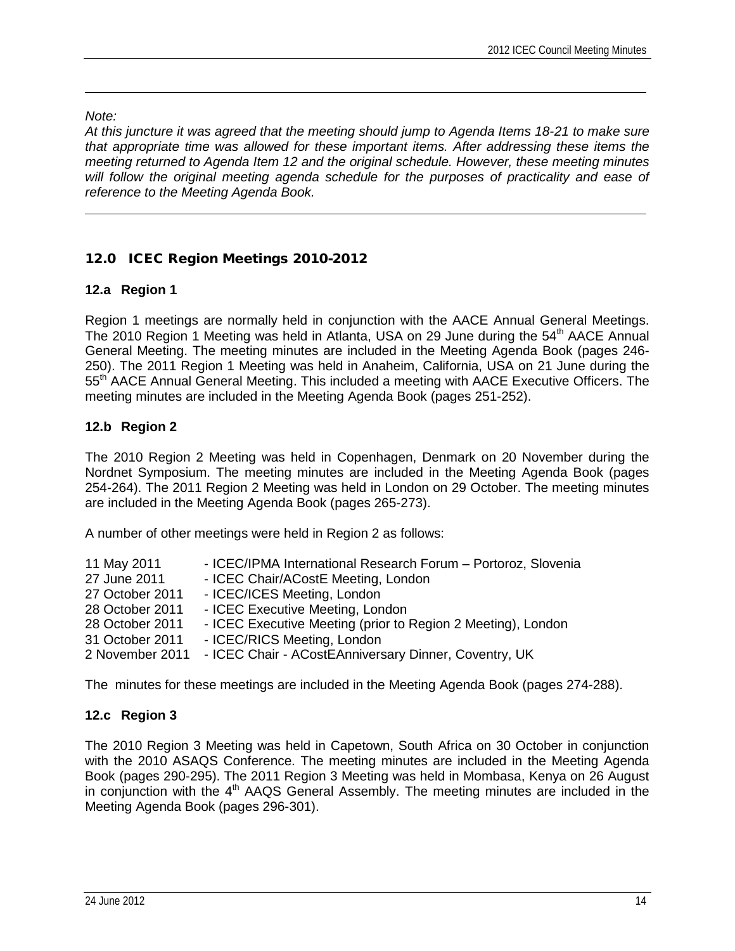*Note:*

*At this juncture it was agreed that the meeting should jump to Agenda Items 18-21 to make sure that appropriate time was allowed for these important items. After addressing these items the meeting returned to Agenda Item 12 and the original schedule. However, these meeting minutes*  will follow the original meeting agenda schedule for the purposes of practicality and ease of *reference to the Meeting Agenda Book.*

## 12.0 ICEC Region Meetings 2010-2012

## **12.a Region 1**

Region 1 meetings are normally held in conjunction with the AACE Annual General Meetings. The 2010 Region 1 Meeting was held in Atlanta, USA on 29 June during the 54<sup>th</sup> AACE Annual General Meeting. The meeting minutes are included in the Meeting Agenda Book (pages 246- 250). The 2011 Region 1 Meeting was held in Anaheim, California, USA on 21 June during the 55<sup>th</sup> AACE Annual General Meeting. This included a meeting with AACE Executive Officers. The meeting minutes are included in the Meeting Agenda Book (pages 251-252).

## **12.b Region 2**

The 2010 Region 2 Meeting was held in Copenhagen, Denmark on 20 November during the Nordnet Symposium. The meeting minutes are included in the Meeting Agenda Book (pages 254-264). The 2011 Region 2 Meeting was held in London on 29 October. The meeting minutes are included in the Meeting Agenda Book (pages 265-273).

A number of other meetings were held in Region 2 as follows:

| - ICEC/IPMA International Research Forum - Portoroz, Slovenia |
|---------------------------------------------------------------|
| - ICEC Chair/ACostE Meeting, London                           |
| - ICEC/ICES Meeting, London                                   |
| - ICEC Executive Meeting, London                              |
| - ICEC Executive Meeting (prior to Region 2 Meeting), London  |
| - ICEC/RICS Meeting, London                                   |
| - ICEC Chair - ACostEAnniversary Dinner, Coventry, UK         |
|                                                               |

The minutes for these meetings are included in the Meeting Agenda Book (pages 274-288).

## **12.c Region 3**

The 2010 Region 3 Meeting was held in Capetown, South Africa on 30 October in conjunction with the 2010 ASAQS Conference. The meeting minutes are included in the Meeting Agenda Book (pages 290-295). The 2011 Region 3 Meeting was held in Mombasa, Kenya on 26 August in conjunction with the 4<sup>th</sup> AAQS General Assembly. The meeting minutes are included in the Meeting Agenda Book (pages 296-301).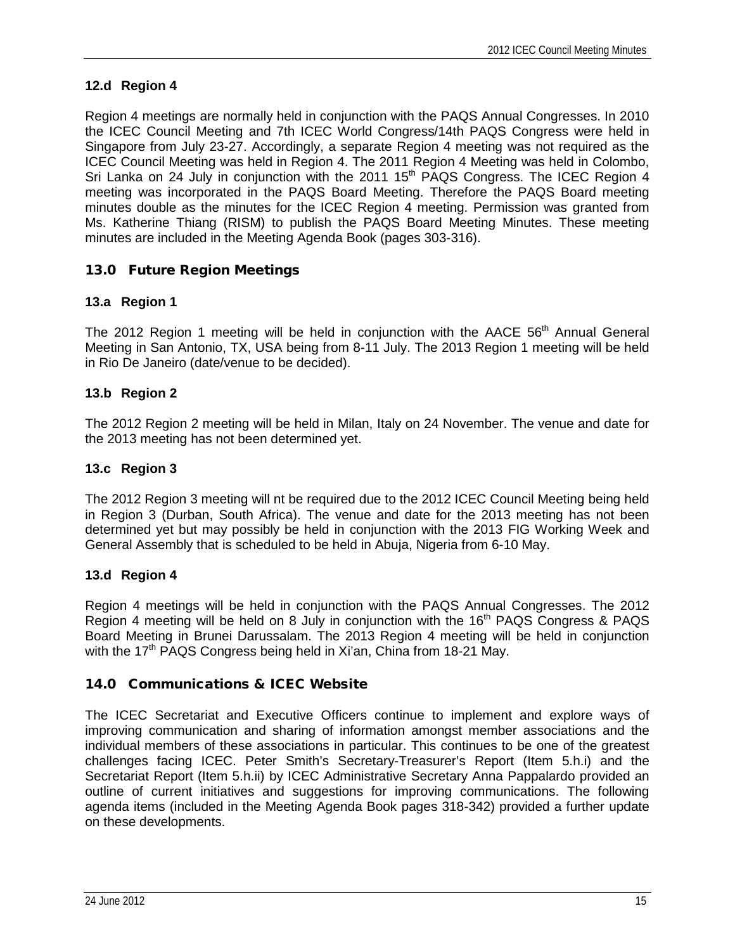## **12.d Region 4**

Region 4 meetings are normally held in conjunction with the PAQS Annual Congresses. In 2010 the ICEC Council Meeting and 7th ICEC World Congress/14th PAQS Congress were held in Singapore from July 23-27. Accordingly, a separate Region 4 meeting was not required as the ICEC Council Meeting was held in Region 4. The 2011 Region 4 Meeting was held in Colombo, Sri Lanka on 24 July in conjunction with the 2011  $15<sup>th</sup>$  PAQS Congress. The ICEC Region 4 meeting was incorporated in the PAQS Board Meeting. Therefore the PAQS Board meeting minutes double as the minutes for the ICEC Region 4 meeting. Permission was granted from Ms. Katherine Thiang (RISM) to publish the PAQS Board Meeting Minutes. These meeting minutes are included in the Meeting Agenda Book (pages 303-316).

## 13.0 Future Region Meetings

## **13.a Region 1**

The 2012 Region 1 meeting will be held in conjunction with the AACE 56<sup>th</sup> Annual General Meeting in San Antonio, TX, USA being from 8-11 July. The 2013 Region 1 meeting will be held in Rio De Janeiro (date/venue to be decided).

## **13.b Region 2**

The 2012 Region 2 meeting will be held in Milan, Italy on 24 November. The venue and date for the 2013 meeting has not been determined yet.

## **13.c Region 3**

The 2012 Region 3 meeting will nt be required due to the 2012 ICEC Council Meeting being held in Region 3 (Durban, South Africa). The venue and date for the 2013 meeting has not been determined yet but may possibly be held in conjunction with the 2013 FIG Working Week and General Assembly that is scheduled to be held in Abuja, Nigeria from 6-10 May.

## **13.d Region 4**

Region 4 meetings will be held in conjunction with the PAQS Annual Congresses. The 2012 Region 4 meeting will be held on 8 July in conjunction with the  $16<sup>th</sup>$  PAQS Congress & PAQS Board Meeting in Brunei Darussalam. The 2013 Region 4 meeting will be held in conjunction with the  $17<sup>th</sup>$  PAQS Congress being held in Xi'an, China from 18-21 May.

## 14.0 Communications & ICEC Website

The ICEC Secretariat and Executive Officers continue to implement and explore ways of improving communication and sharing of information amongst member associations and the individual members of these associations in particular. This continues to be one of the greatest challenges facing ICEC. Peter Smith's Secretary-Treasurer's Report (Item 5.h.i) and the Secretariat Report (Item 5.h.ii) by ICEC Administrative Secretary Anna Pappalardo provided an outline of current initiatives and suggestions for improving communications. The following agenda items (included in the Meeting Agenda Book pages 318-342) provided a further update on these developments.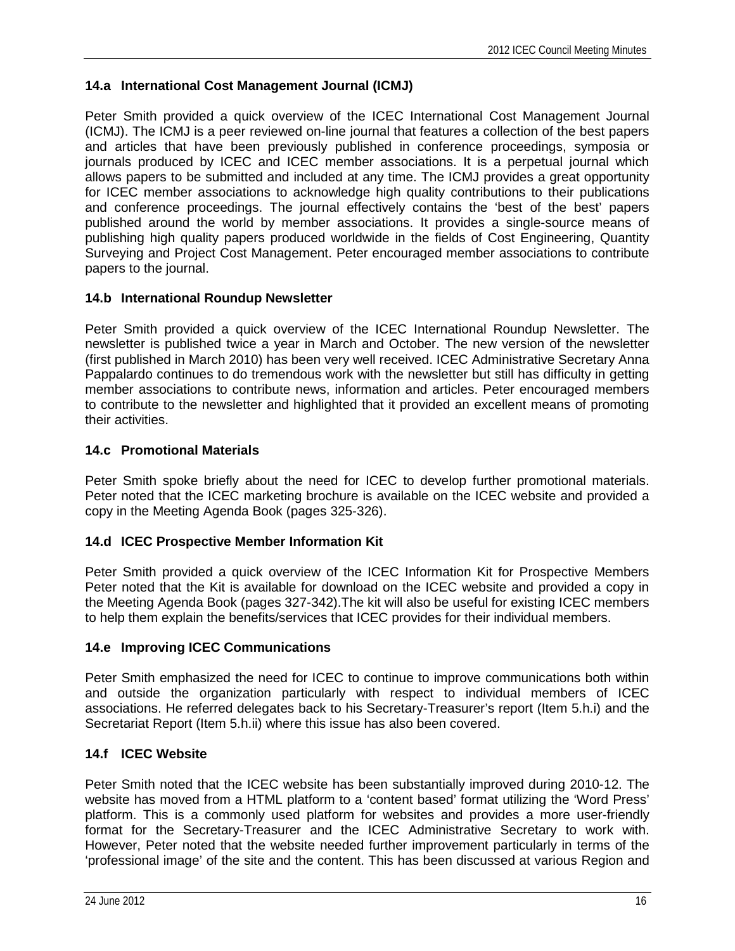## **14.a International Cost Management Journal (ICMJ)**

Peter Smith provided a quick overview of the ICEC International Cost Management Journal (ICMJ). The ICMJ is a peer reviewed on-line journal that features a collection of the best papers and articles that have been previously published in conference proceedings, symposia or journals produced by ICEC and ICEC member associations. It is a perpetual journal which allows papers to be submitted and included at any time. The ICMJ provides a great opportunity for ICEC member associations to acknowledge high quality contributions to their publications and conference proceedings. The journal effectively contains the 'best of the best' papers published around the world by member associations. It provides a single-source means of publishing high quality papers produced worldwide in the fields of Cost Engineering, Quantity Surveying and Project Cost Management. Peter encouraged member associations to contribute papers to the journal.

## **14.b International Roundup Newsletter**

Peter Smith provided a quick overview of the ICEC International Roundup Newsletter. The newsletter is published twice a year in March and October. The new version of the newsletter (first published in March 2010) has been very well received. ICEC Administrative Secretary Anna Pappalardo continues to do tremendous work with the newsletter but still has difficulty in getting member associations to contribute news, information and articles. Peter encouraged members to contribute to the newsletter and highlighted that it provided an excellent means of promoting their activities.

## **14.c Promotional Materials**

Peter Smith spoke briefly about the need for ICEC to develop further promotional materials. Peter noted that the ICEC marketing brochure is available on the ICEC website and provided a copy in the Meeting Agenda Book (pages 325-326).

## **14.d ICEC Prospective Member Information Kit**

Peter Smith provided a quick overview of the ICEC Information Kit for Prospective Members Peter noted that the Kit is available for download on the ICEC website and provided a copy in the Meeting Agenda Book (pages 327-342).The kit will also be useful for existing ICEC members to help them explain the benefits/services that ICEC provides for their individual members.

## **14.e Improving ICEC Communications**

Peter Smith emphasized the need for ICEC to continue to improve communications both within and outside the organization particularly with respect to individual members of ICEC associations. He referred delegates back to his Secretary-Treasurer's report (Item 5.h.i) and the Secretariat Report (Item 5.h.ii) where this issue has also been covered.

## **14.f ICEC Website**

Peter Smith noted that the ICEC website has been substantially improved during 2010-12. The website has moved from a HTML platform to a 'content based' format utilizing the 'Word Press' platform. This is a commonly used platform for websites and provides a more user-friendly format for the Secretary-Treasurer and the ICEC Administrative Secretary to work with. However, Peter noted that the website needed further improvement particularly in terms of the 'professional image' of the site and the content. This has been discussed at various Region and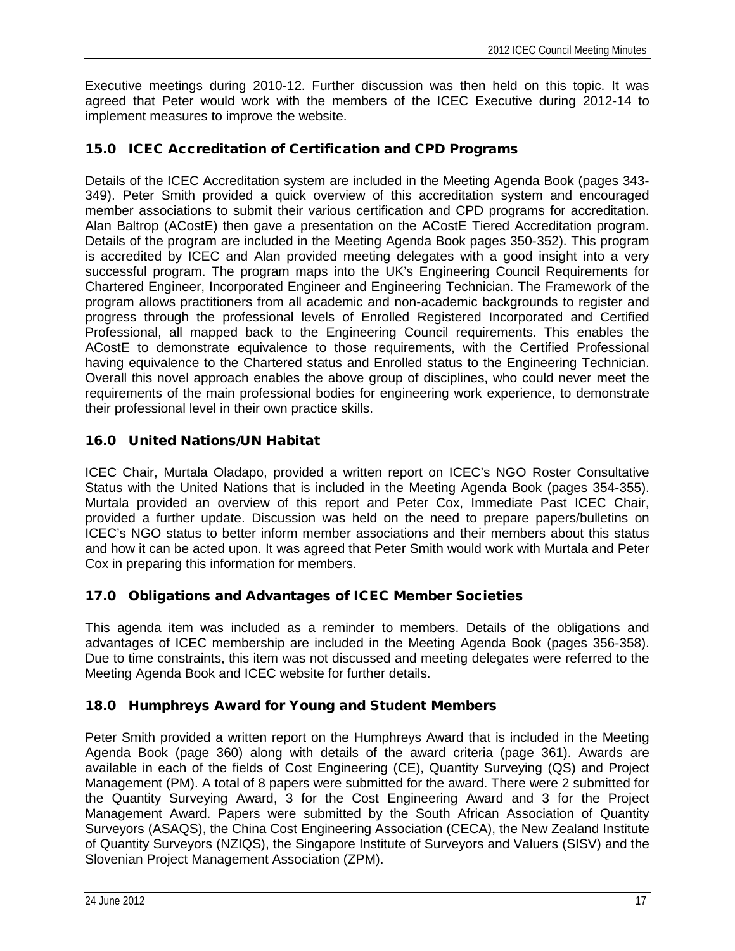Executive meetings during 2010-12. Further discussion was then held on this topic. It was agreed that Peter would work with the members of the ICEC Executive during 2012-14 to implement measures to improve the website.

## 15.0 ICEC Accreditation of Certification and CPD Programs

Details of the ICEC Accreditation system are included in the Meeting Agenda Book (pages 343- 349). Peter Smith provided a quick overview of this accreditation system and encouraged member associations to submit their various certification and CPD programs for accreditation. Alan Baltrop (ACostE) then gave a presentation on the ACostE Tiered Accreditation program. Details of the program are included in the Meeting Agenda Book pages 350-352). This program is accredited by ICEC and Alan provided meeting delegates with a good insight into a very successful program. The program maps into the UK's Engineering Council Requirements for Chartered Engineer, Incorporated Engineer and Engineering Technician. The Framework of the program allows practitioners from all academic and non-academic backgrounds to register and progress through the professional levels of Enrolled Registered Incorporated and Certified Professional, all mapped back to the Engineering Council requirements. This enables the ACostE to demonstrate equivalence to those requirements, with the Certified Professional having equivalence to the Chartered status and Enrolled status to the Engineering Technician. Overall this novel approach enables the above group of disciplines, who could never meet the requirements of the main professional bodies for engineering work experience, to demonstrate their professional level in their own practice skills.

## 16.0 United Nations/UN Habitat

ICEC Chair, Murtala Oladapo, provided a written report on ICEC's NGO Roster Consultative Status with the United Nations that is included in the Meeting Agenda Book (pages 354-355). Murtala provided an overview of this report and Peter Cox, Immediate Past ICEC Chair, provided a further update. Discussion was held on the need to prepare papers/bulletins on ICEC's NGO status to better inform member associations and their members about this status and how it can be acted upon. It was agreed that Peter Smith would work with Murtala and Peter Cox in preparing this information for members.

## 17.0 Obligations and Advantages of ICEC Member Societies

This agenda item was included as a reminder to members. Details of the obligations and advantages of ICEC membership are included in the Meeting Agenda Book (pages 356-358). Due to time constraints, this item was not discussed and meeting delegates were referred to the Meeting Agenda Book and ICEC website for further details.

## 18.0 Humphreys Award for Young and Student Members

Peter Smith provided a written report on the Humphreys Award that is included in the Meeting Agenda Book (page 360) along with details of the award criteria (page 361). Awards are available in each of the fields of Cost Engineering (CE), Quantity Surveying (QS) and Project Management (PM). A total of 8 papers were submitted for the award. There were 2 submitted for the Quantity Surveying Award, 3 for the Cost Engineering Award and 3 for the Project Management Award. Papers were submitted by the South African Association of Quantity Surveyors (ASAQS), the China Cost Engineering Association (CECA), the New Zealand Institute of Quantity Surveyors (NZIQS), the Singapore Institute of Surveyors and Valuers (SISV) and the Slovenian Project Management Association (ZPM).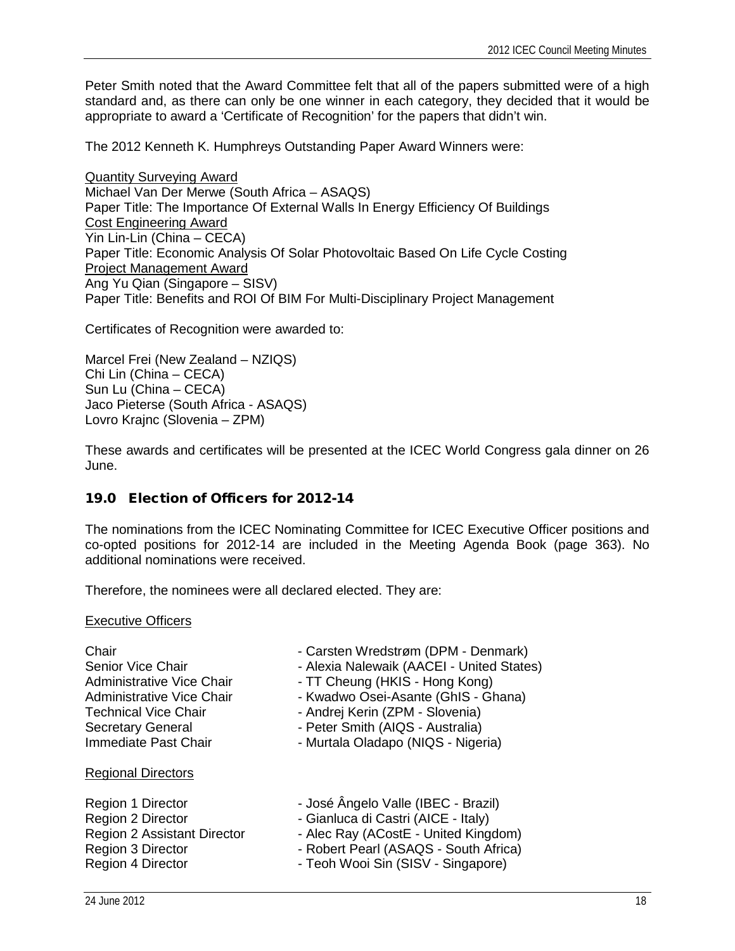Peter Smith noted that the Award Committee felt that all of the papers submitted were of a high standard and, as there can only be one winner in each category, they decided that it would be appropriate to award a 'Certificate of Recognition' for the papers that didn't win.

The 2012 Kenneth K. Humphreys Outstanding Paper Award Winners were:

Quantity Surveying Award Michael Van Der Merwe (South Africa – ASAQS) Paper Title: The Importance Of External Walls In Energy Efficiency Of Buildings Cost Engineering Award Yin Lin-Lin (China – CECA) Paper Title: Economic Analysis Of Solar Photovoltaic Based On Life Cycle Costing Project Management Award Ang Yu Qian (Singapore – SISV) Paper Title: Benefits and ROI Of BIM For Multi-Disciplinary Project Management

Certificates of Recognition were awarded to:

Marcel Frei (New Zealand – NZIQS) Chi Lin (China – CECA) Sun Lu (China – CECA) Jaco Pieterse (South Africa - ASAQS) Lovro Krajnc (Slovenia – ZPM)

These awards and certificates will be presented at the ICEC World Congress gala dinner on 26 June.

## 19.0 Election of Officers for 2012-14

The nominations from the ICEC Nominating Committee for ICEC Executive Officer positions and co-opted positions for 2012-14 are included in the Meeting Agenda Book (page 363). No additional nominations were received.

Therefore, the nominees were all declared elected. They are:

#### Executive Officers

#### Regional Directors

Region 2 Director - Gianluca di Castri (AICE - Italy) Region 2 Assistant Director - Alec Ray (ACostE - United Kingdom) Region 3 Director **- Robert Pearl (ASAQS - South Africa)**<br>Region 4 Director - Teoh Wooi Sin (SISV - Singapore)

- Chair **Chair** Carsten Wredstrøm (DPM Denmark)
- Senior Vice Chair **Chair** Alexia Nalewaik (AACEI United States)
- Administrative Vice Chair TT Cheung (HKIS Hong Kong)
- Administrative Vice Chair Kwadwo Osei-Asante (GhIS Ghana)
- Technical Vice Chair  **Andrej Kerin (ZPM Slovenia)**
- Secretary General Peter Smith (AIQS Australia)
- Immediate Past Chair Murtala Oladapo (NIQS Nigeria)
- Region 1 Director José Ângelo Valle (IBEC Brazil)
	-
	-
	-
	- Teoh Wooi Sin (SISV Singapore)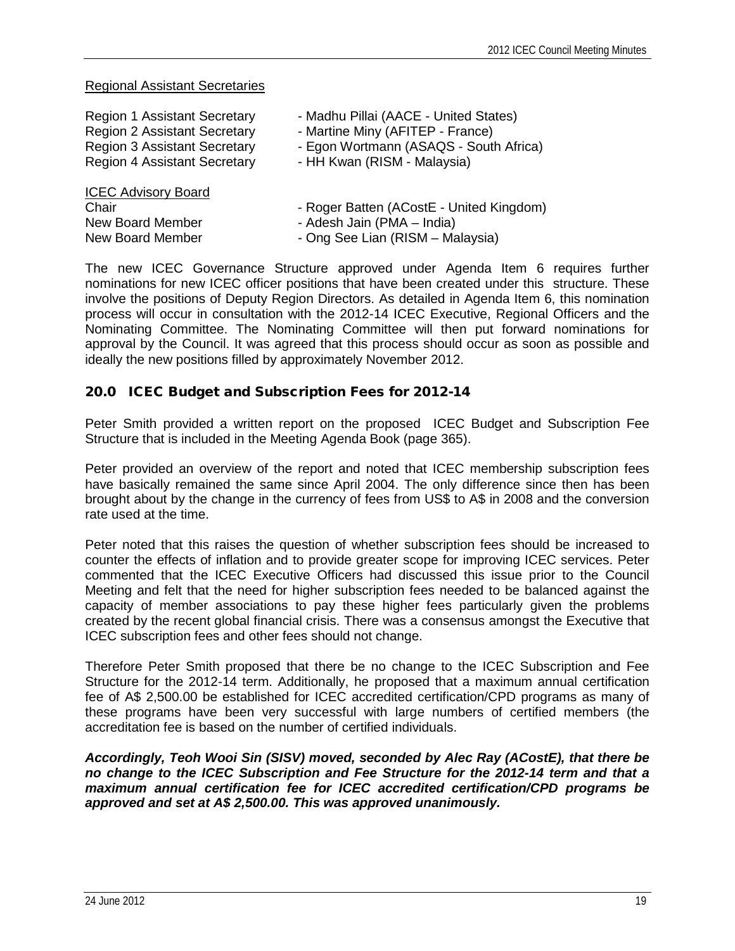#### Regional Assistant Secretaries

Region 2 Assistant Secretary - Martine Miny (AFITEP - France) Region 4 Assistant Secretary - HH Kwan (RISM - Malaysia)

- Region 1 Assistant Secretary Madhu Pillai (AACE United States)
	-
- Region 3 Assistant Secretary Egon Wortmann (ASAQS South Africa)
	-

| <b>ICEC Advisory Board</b> |  |
|----------------------------|--|
| Chair                      |  |
| New Board Member           |  |
| New Board Member           |  |

- Roger Batten (ACostE United Kingdom)
- Adesh Jain (PMA India)
- Ong See Lian (RISM Malaysia)

The new ICEC Governance Structure approved under Agenda Item 6 requires further nominations for new ICEC officer positions that have been created under this structure. These involve the positions of Deputy Region Directors. As detailed in Agenda Item 6, this nomination process will occur in consultation with the 2012-14 ICEC Executive, Regional Officers and the Nominating Committee. The Nominating Committee will then put forward nominations for approval by the Council. It was agreed that this process should occur as soon as possible and ideally the new positions filled by approximately November 2012.

#### 20.0 ICEC Budget and Subscription Fees for 2012-14

Peter Smith provided a written report on the proposed ICEC Budget and Subscription Fee Structure that is included in the Meeting Agenda Book (page 365).

Peter provided an overview of the report and noted that ICEC membership subscription fees have basically remained the same since April 2004. The only difference since then has been brought about by the change in the currency of fees from US\$ to A\$ in 2008 and the conversion rate used at the time.

Peter noted that this raises the question of whether subscription fees should be increased to counter the effects of inflation and to provide greater scope for improving ICEC services. Peter commented that the ICEC Executive Officers had discussed this issue prior to the Council Meeting and felt that the need for higher subscription fees needed to be balanced against the capacity of member associations to pay these higher fees particularly given the problems created by the recent global financial crisis. There was a consensus amongst the Executive that ICEC subscription fees and other fees should not change.

Therefore Peter Smith proposed that there be no change to the ICEC Subscription and Fee Structure for the 2012-14 term. Additionally, he proposed that a maximum annual certification fee of A\$ 2,500.00 be established for ICEC accredited certification/CPD programs as many of these programs have been very successful with large numbers of certified members (the accreditation fee is based on the number of certified individuals.

*Accordingly, Teoh Wooi Sin (SISV) moved, seconded by Alec Ray (ACostE), that there be no change to the ICEC Subscription and Fee Structure for the 2012-14 term and that a maximum annual certification fee for ICEC accredited certification/CPD programs be approved and set at A\$ 2,500.00. This was approved unanimously.*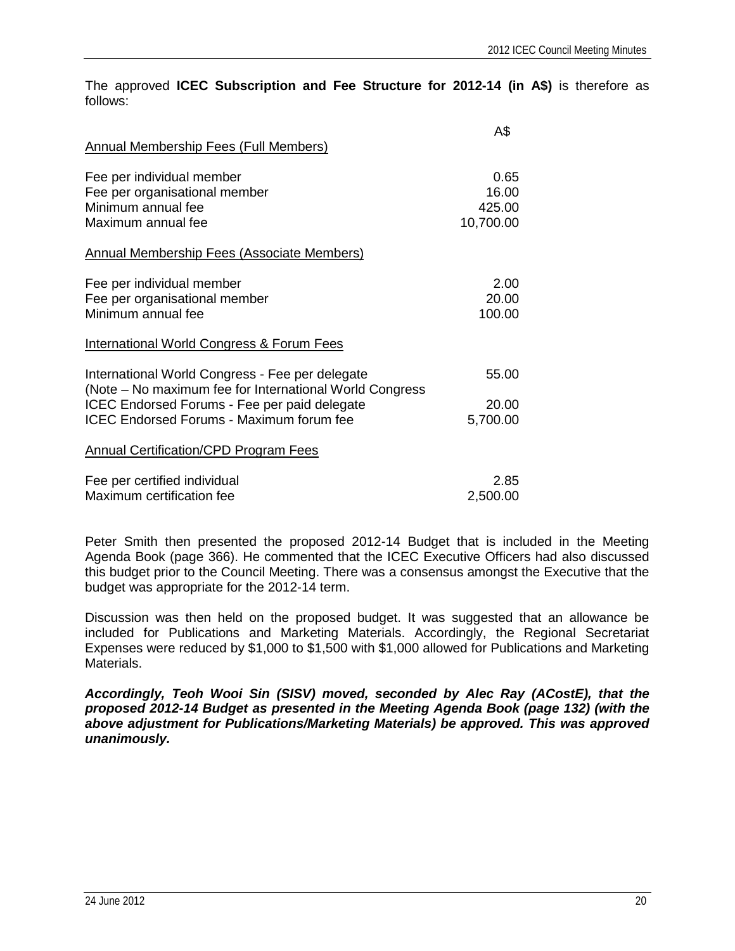The approved **ICEC Subscription and Fee Structure for 2012-14 (in A\$)** is therefore as follows:

| <b>Annual Membership Fees (Full Members)</b>                                                               | $A\$$                                |
|------------------------------------------------------------------------------------------------------------|--------------------------------------|
| Fee per individual member<br>Fee per organisational member<br>Minimum annual fee<br>Maximum annual fee     | 0.65<br>16.00<br>425.00<br>10,700.00 |
| <b>Annual Membership Fees (Associate Members)</b>                                                          |                                      |
| Fee per individual member<br>Fee per organisational member<br>Minimum annual fee                           | 2.00<br>20.00<br>100.00              |
| <b>International World Congress &amp; Forum Fees</b>                                                       |                                      |
| International World Congress - Fee per delegate<br>(Note – No maximum fee for International World Congress | 55.00                                |
| ICEC Endorsed Forums - Fee per paid delegate<br><b>ICEC Endorsed Forums - Maximum forum fee</b>            | 20.00<br>5,700.00                    |
| <b>Annual Certification/CPD Program Fees</b>                                                               |                                      |
| Fee per certified individual<br>Maximum certification fee                                                  | 2.85<br>2,500.00                     |

Peter Smith then presented the proposed 2012-14 Budget that is included in the Meeting Agenda Book (page 366). He commented that the ICEC Executive Officers had also discussed this budget prior to the Council Meeting. There was a consensus amongst the Executive that the budget was appropriate for the 2012-14 term.

Discussion was then held on the proposed budget. It was suggested that an allowance be included for Publications and Marketing Materials. Accordingly, the Regional Secretariat Expenses were reduced by \$1,000 to \$1,500 with \$1,000 allowed for Publications and Marketing **Materials**.

*Accordingly, Teoh Wooi Sin (SISV) moved, seconded by Alec Ray (ACostE), that the proposed 2012-14 Budget as presented in the Meeting Agenda Book (page 132) (with the above adjustment for Publications/Marketing Materials) be approved. This was approved unanimously.*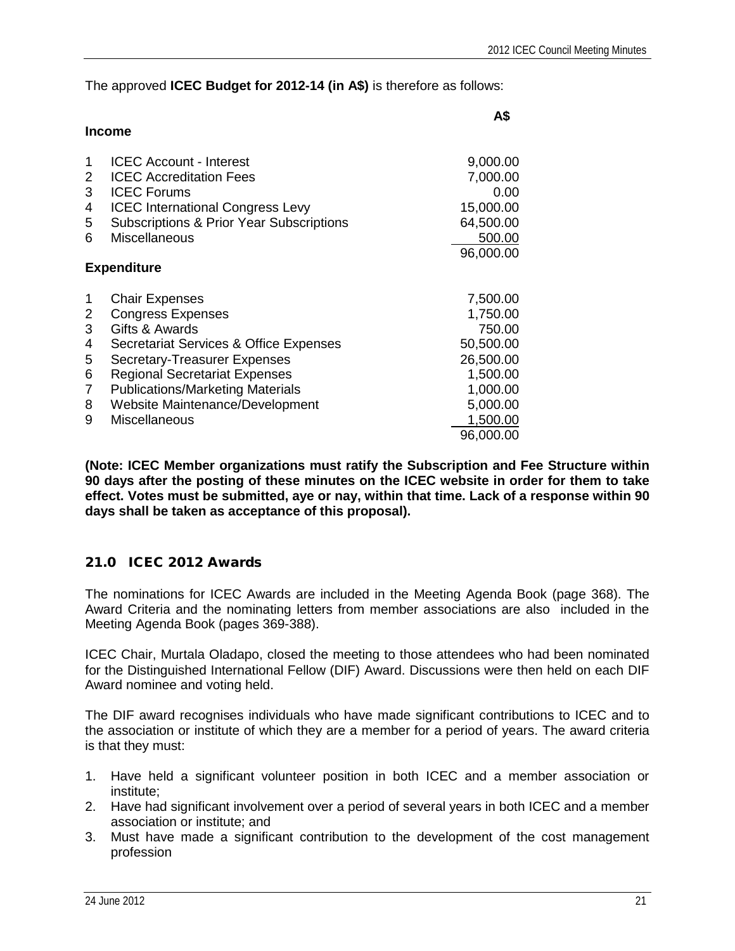The approved **ICEC Budget for 2012-14 (in A\$)** is therefore as follows:

|                |                                                     | A\$       |
|----------------|-----------------------------------------------------|-----------|
|                | Income                                              |           |
| 1.             | <b>ICEC Account - Interest</b>                      | 9,000.00  |
| 2              | <b>ICEC Accreditation Fees</b>                      | 7,000.00  |
| 3              | <b>ICEC Forums</b>                                  | 0.00      |
| 4              | <b>ICEC International Congress Levy</b>             | 15,000.00 |
| 5              | <b>Subscriptions &amp; Prior Year Subscriptions</b> | 64,500.00 |
| 6              | Miscellaneous                                       | 500.00    |
|                |                                                     | 96,000.00 |
|                | <b>Expenditure</b>                                  |           |
| 1              | <b>Chair Expenses</b>                               | 7,500.00  |
| 2              | <b>Congress Expenses</b>                            | 1,750.00  |
| 3              | Gifts & Awards                                      | 750.00    |
| 4              | Secretariat Services & Office Expenses              | 50,500.00 |
| 5              | <b>Secretary-Treasurer Expenses</b>                 | 26,500.00 |
| 6              | <b>Regional Secretariat Expenses</b>                | 1,500.00  |
| $\overline{7}$ | <b>Publications/Marketing Materials</b>             | 1,000.00  |
| 8              | Website Maintenance/Development                     | 5,000.00  |
| 9              | Miscellaneous                                       | 1,500.00  |
|                |                                                     | 96,000.00 |

**(Note: ICEC Member organizations must ratify the Subscription and Fee Structure within 90 days after the posting of these minutes on the ICEC website in order for them to take effect. Votes must be submitted, aye or nay, within that time. Lack of a response within 90 days shall be taken as acceptance of this proposal).**

## 21.0 ICEC 2012 Awards

The nominations for ICEC Awards are included in the Meeting Agenda Book (page 368). The Award Criteria and the nominating letters from member associations are also included in the Meeting Agenda Book (pages 369-388).

ICEC Chair, Murtala Oladapo, closed the meeting to those attendees who had been nominated for the Distinguished International Fellow (DIF) Award. Discussions were then held on each DIF Award nominee and voting held.

The DIF award recognises individuals who have made significant contributions to ICEC and to the association or institute of which they are a member for a period of years. The award criteria is that they must:

- 1. Have held a significant volunteer position in both ICEC and a member association or institute;
- 2. Have had significant involvement over a period of several years in both ICEC and a member association or institute; and
- 3. Must have made a significant contribution to the development of the cost management profession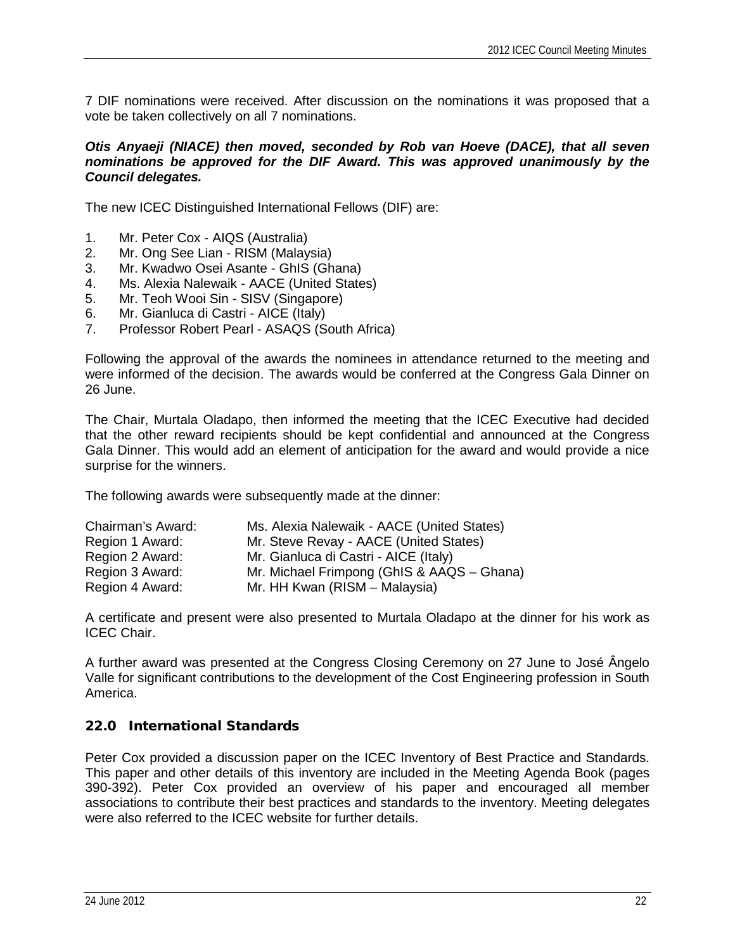7 DIF nominations were received. After discussion on the nominations it was proposed that a vote be taken collectively on all 7 nominations.

#### *Otis Anyaeji (NIACE) then moved, seconded by Rob van Hoeve (DACE), that all seven nominations be approved for the DIF Award. This was approved unanimously by the Council delegates.*

The new ICEC Distinguished International Fellows (DIF) are:

- 1. Mr. Peter Cox AIQS (Australia)
- 2. Mr. Ong See Lian RISM (Malaysia)
- 3. Mr. Kwadwo Osei Asante GhIS (Ghana)
- 4. Ms. Alexia Nalewaik AACE (United States)
- 5. Mr. Teoh Wooi Sin SISV (Singapore)
- 6. Mr. Gianluca di Castri AICE (Italy)
- 7. Professor Robert Pearl ASAQS (South Africa)

Following the approval of the awards the nominees in attendance returned to the meeting and were informed of the decision. The awards would be conferred at the Congress Gala Dinner on 26 June.

The Chair, Murtala Oladapo, then informed the meeting that the ICEC Executive had decided that the other reward recipients should be kept confidential and announced at the Congress Gala Dinner. This would add an element of anticipation for the award and would provide a nice surprise for the winners.

The following awards were subsequently made at the dinner:

| Chairman's Award: | Ms. Alexia Nalewaik - AACE (United States) |
|-------------------|--------------------------------------------|
| Region 1 Award:   | Mr. Steve Revay - AACE (United States)     |
| Region 2 Award:   | Mr. Gianluca di Castri - AICE (Italy)      |
| Region 3 Award:   | Mr. Michael Frimpong (GhIS & AAQS - Ghana) |
| Region 4 Award:   | Mr. HH Kwan (RISM - Malaysia)              |
|                   |                                            |

A certificate and present were also presented to Murtala Oladapo at the dinner for his work as ICEC Chair.

A further award was presented at the Congress Closing Ceremony on 27 June to José Ângelo Valle for significant contributions to the development of the Cost Engineering profession in South America.

## 22.0 International Standards

Peter Cox provided a discussion paper on the ICEC Inventory of Best Practice and Standards. This paper and other details of this inventory are included in the Meeting Agenda Book (pages 390-392). Peter Cox provided an overview of his paper and encouraged all member associations to contribute their best practices and standards to the inventory. Meeting delegates were also referred to the ICEC website for further details.